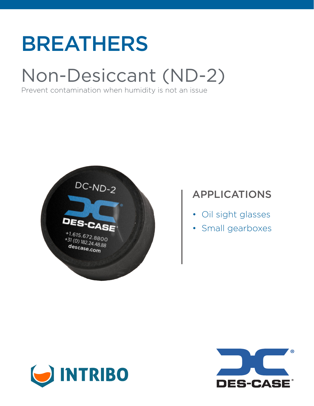# BREATHERS

## Non-Desiccant (ND-2)

Prevent contamination when humidity is not an issue



### APPLICATIONS

- Oil sight glasses
- Small gearboxes